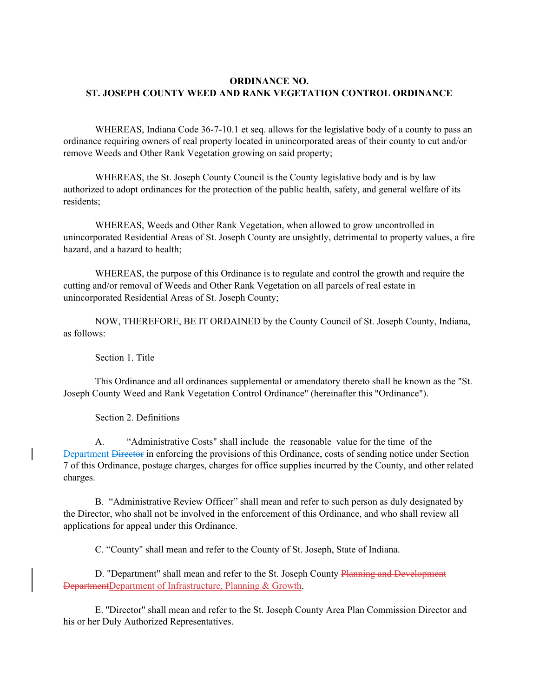# **ORDINANCE NO. ST. JOSEPH COUNTY WEED AND RANK VEGETATION CONTROL ORDINANCE**

WHEREAS, Indiana Code 36-7-10.1 et seq. allows for the legislative body of a county to pass an ordinance requiring owners of real property located in unincorporated areas of their county to cut and/or remove Weeds and Other Rank Vegetation growing on said property;

WHEREAS, the St. Joseph County Council is the County legislative body and is by law authorized to adopt ordinances for the protection of the public health, safety, and general welfare of its residents;

WHEREAS, Weeds and Other Rank Vegetation, when allowed to grow uncontrolled in unincorporated Residential Areas of St. Joseph County are unsightly, detrimental to property values, a fire hazard, and a hazard to health;

WHEREAS, the purpose of this Ordinance is to regulate and control the growth and require the cutting and/or removal of Weeds and Other Rank Vegetation on all parcels of real estate in unincorporated Residential Areas of St. Joseph County;

NOW, THEREFORE, BE IT ORDAINED by the County Council of St. Joseph County, Indiana, as follows:

Section 1. Title

This Ordinance and all ordinances supplemental or amendatory thereto shall be known as the "St. Joseph County Weed and Rank Vegetation Control Ordinance" (hereinafter this "Ordinance").

Section 2. Definitions

A. "Administrative Costs" shall include the reasonable value for the time of the Department Director in enforcing the provisions of this Ordinance, costs of sending notice under Section 7 of this Ordinance, postage charges, charges for office supplies incurred by the County, and other related charges.

B. "Administrative Review Officer" shall mean and refer to such person as duly designated by the Director, who shall not be involved in the enforcement of this Ordinance, and who shall review all applications for appeal under this Ordinance.

C. "County" shall mean and refer to the County of St. Joseph, State of Indiana.

D. "Department" shall mean and refer to the St. Joseph County Planning and Development DepartmentDepartment of Infrastructure, Planning & Growth.

E. ''Director" shall mean and refer to the St. Joseph County Area Plan Commission Director and his or her Duly Authorized Representatives.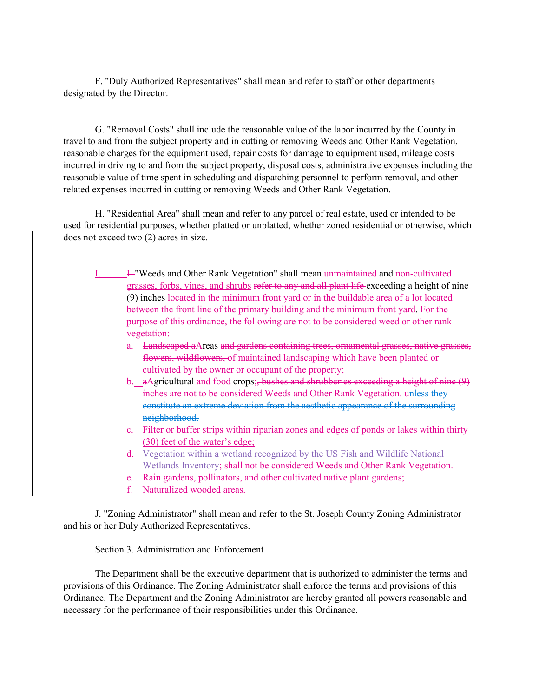F. ''Duly Authorized Representatives" shall mean and refer to staff or other departments designated by the Director.

G. "Removal Costs" shall include the reasonable value of the labor incurred by the County in travel to and from the subject property and in cutting or removing Weeds and Other Rank Vegetation, reasonable charges for the equipment used, repair costs for damage to equipment used, mileage costs incurred in driving to and from the subject property, disposal costs, administrative expenses including the reasonable value of time spent in scheduling and dispatching personnel to perform removal, and other related expenses incurred in cutting or removing Weeds and Other Rank Vegetation.

H. "Residential Area" shall mean and refer to any parcel of real estate, used or intended to be used for residential purposes, whether platted or unplatted, whether zoned residential or otherwise, which does not exceed two (2) acres in size.

- I. I. "Weeds and Other Rank Vegetation" shall mean unmaintained and non-cultivated grasses, forbs, vines, and shrubs refer to any and all plant life exceeding a height of nine (9) inches located in the minimum front yard or in the buildable area of a lot located between the front line of the primary building and the minimum front yard. For the purpose of this ordinance, the following are not to be considered weed or other rank vegetation:
	- a. Landscaped aAreas and gardens containing trees, ornamental grasses, native grasses, flowers, wildflowers, of maintained landscaping which have been planted or cultivated by the owner or occupant of the property;
	- b. aAgricultural and food crops; bushes and shrubberies exceeding a height of nine (9) inches are not to be considered Weeds and Other Rank Vegetation. unless they constitute an extreme deviation from the aesthetic appearance of the surrounding neighborhood.
	- c. Filter or buffer strips within riparian zones and edges of ponds or lakes within thirty (30) feet of the water's edge;
	- d. Vegetation within a wetland recognized by the US Fish and Wildlife National Wetlands Inventory; shall not be considered Weeds and Other Rank Vegetation.
	- e. Rain gardens, pollinators, and other cultivated native plant gardens;
	- f. Naturalized wooded areas.

J. "Zoning Administrator" shall mean and refer to the St. Joseph County Zoning Administrator and his or her Duly Authorized Representatives.

Section 3. Administration and Enforcement

The Department shall be the executive department that is authorized to administer the terms and provisions of this Ordinance. The Zoning Administrator shall enforce the terms and provisions of this Ordinance. The Department and the Zoning Administrator are hereby granted all powers reasonable and necessary for the performance of their responsibilities under this Ordinance.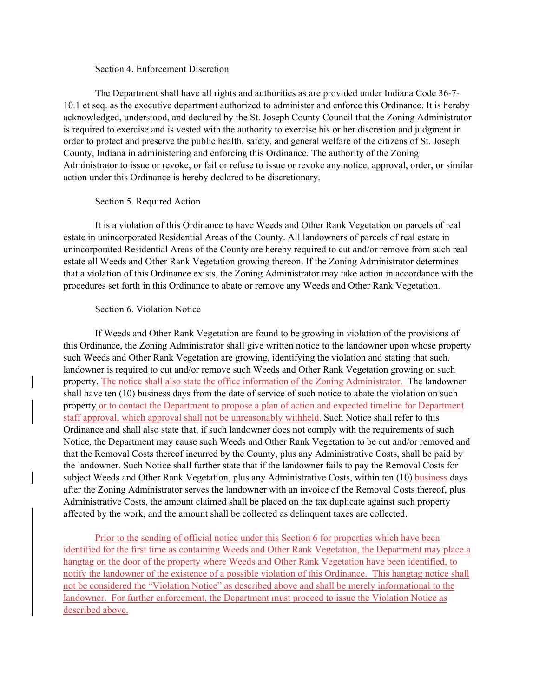#### Section 4. Enforcement Discretion

The Department shall have all rights and authorities as are provided under Indiana Code 36-7- 10.1 et seq. as the executive department authorized to administer and enforce this Ordinance. It is hereby acknowledged, understood, and declared by the St. Joseph County Council that the Zoning Administrator is required to exercise and is vested with the authority to exercise his or her discretion and judgment in order to protect and preserve the public health, safety, and general welfare of the citizens of St. Joseph County, Indiana in administering and enforcing this Ordinance. The authority of the Zoning Administrator to issue or revoke, or fail or refuse to issue or revoke any notice, approval, order, or similar action under this Ordinance is hereby declared to be discretionary.

### Section 5. Required Action

It is a violation of this Ordinance to have Weeds and Other Rank Vegetation on parcels of real estate in unincorporated Residential Areas of the County. All landowners of parcels of real estate in unincorporated Residential Areas of the County are hereby required to cut and/or remove from such real estate all Weeds and Other Rank Vegetation growing thereon. If the Zoning Administrator determines that a violation of this Ordinance exists, the Zoning Administrator may take action in accordance with the procedures set forth in this Ordinance to abate or remove any Weeds and Other Rank Vegetation.

# Section 6. Violation Notice

If Weeds and Other Rank Vegetation are found to be growing in violation of the provisions of this Ordinance, the Zoning Administrator shall give written notice to the landowner upon whose property such Weeds and Other Rank Vegetation are growing, identifying the violation and stating that such. landowner is required to cut and/or remove such Weeds and Other Rank Vegetation growing on such property. The notice shall also state the office information of the Zoning Administrator. The landowner shall have ten (10) business days from the date of service of such notice to abate the violation on such property or to contact the Department to propose a plan of action and expected timeline for Department staff approval, which approval shall not be unreasonably withheld. Such Notice shall refer to this Ordinance and shall also state that, if such landowner does not comply with the requirements of such Notice, the Department may cause such Weeds and Other Rank Vegetation to be cut and/or removed and that the Removal Costs thereof incurred by the County, plus any Administrative Costs, shall be paid by the landowner. Such Notice shall further state that if the landowner fails to pay the Removal Costs for subject Weeds and Other Rank Vegetation, plus any Administrative Costs, within ten (10) business days after the Zoning Administrator serves the landowner with an invoice of the Removal Costs thereof, plus Administrative Costs, the amount claimed shall be placed on the tax duplicate against such property affected by the work, and the amount shall be collected as delinquent taxes are collected.

Prior to the sending of official notice under this Section 6 for properties which have been identified for the first time as containing Weeds and Other Rank Vegetation, the Department may place a hangtag on the door of the property where Weeds and Other Rank Vegetation have been identified, to notify the landowner of the existence of a possible violation of this Ordinance. This hangtag notice shall not be considered the "Violation Notice" as described above and shall be merely informational to the landowner. For further enforcement, the Department must proceed to issue the Violation Notice as described above.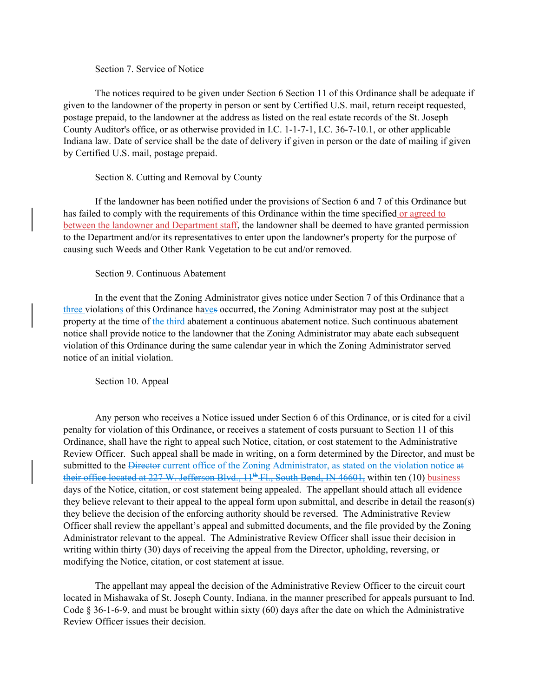### Section 7. Service of Notice

The notices required to be given under Section 6 Section 11 of this Ordinance shall be adequate if given to the landowner of the property in person or sent by Certified U.S. mail, return receipt requested, postage prepaid, to the landowner at the address as listed on the real estate records of the St. Joseph County Auditor's office, or as otherwise provided in I.C. 1-1-7-1, I.C. 36-7-10.1, or other applicable Indiana law. Date of service shall be the date of delivery if given in person or the date of mailing if given by Certified U.S. mail, postage prepaid.

## Section 8. Cutting and Removal by County

If the landowner has been notified under the provisions of Section 6 and 7 of this Ordinance but has failed to comply with the requirements of this Ordinance within the time specified or agreed to between the landowner and Department staff, the landowner shall be deemed to have granted permission to the Department and/or its representatives to enter upon the landowner's property for the purpose of causing such Weeds and Other Rank Vegetation to be cut and/or removed.

# Section 9. Continuous Abatement

In the event that the Zoning Administrator gives notice under Section 7 of this Ordinance that a three violations of this Ordinance haves occurred, the Zoning Administrator may post at the subject property at the time of the third abatement a continuous abatement notice. Such continuous abatement notice shall provide notice to the landowner that the Zoning Administrator may abate each subsequent violation of this Ordinance during the same calendar year in which the Zoning Administrator served notice of an initial violation.

Section 10. Appeal

 Any person who receives a Notice issued under Section 6 of this Ordinance, or is cited for a civil penalty for violation of this Ordinance, or receives a statement of costs pursuant to Section 11 of this Ordinance, shall have the right to appeal such Notice, citation, or cost statement to the Administrative Review Officer. Such appeal shall be made in writing, on a form determined by the Director, and must be submitted to the <del>Director</del> current office of the Zoning Administrator, as stated on the violation notice at their office located at  $227$  W. Jefferson Blvd.,  $11^{th}$  Fl., South Bend, IN 46601, within ten (10) business days of the Notice, citation, or cost statement being appealed. The appellant should attach all evidence they believe relevant to their appeal to the appeal form upon submittal, and describe in detail the reason(s) they believe the decision of the enforcing authority should be reversed. The Administrative Review Officer shall review the appellant's appeal and submitted documents, and the file provided by the Zoning Administrator relevant to the appeal. The Administrative Review Officer shall issue their decision in writing within thirty (30) days of receiving the appeal from the Director, upholding, reversing, or modifying the Notice, citation, or cost statement at issue.

 The appellant may appeal the decision of the Administrative Review Officer to the circuit court located in Mishawaka of St. Joseph County, Indiana, in the manner prescribed for appeals pursuant to Ind. Code § 36-1-6-9, and must be brought within sixty (60) days after the date on which the Administrative Review Officer issues their decision.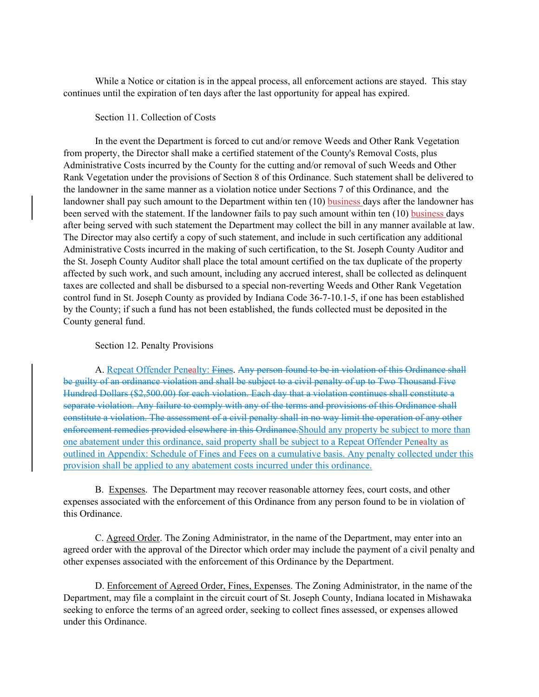While a Notice or citation is in the appeal process, all enforcement actions are stayed. This stay continues until the expiration of ten days after the last opportunity for appeal has expired.

# Section 11. Collection of Costs

In the event the Department is forced to cut and/or remove Weeds and Other Rank Vegetation from property, the Director shall make a certified statement of the County's Removal Costs, plus Administrative Costs incurred by the County for the cutting and/or removal of such Weeds and Other Rank Vegetation under the provisions of Section 8 of this Ordinance. Such statement shall be delivered to the landowner in the same manner as a violation notice under Sections 7 of this Ordinance, and the landowner shall pay such amount to the Department within ten (10) business days after the landowner has been served with the statement. If the landowner fails to pay such amount within ten (10) business days after being served with such statement the Department may collect the bill in any manner available at law. The Director may also certify a copy of such statement, and include in such certification any additional Administrative Costs incurred in the making of such certification, to the St. Joseph County Auditor and the St. Joseph County Auditor shall place the total amount certified on the tax duplicate of the property affected by such work, and such amount, including any accrued interest, shall be collected as delinquent taxes are collected and shall be disbursed to a special non-reverting Weeds and Other Rank Vegetation control fund in St. Joseph County as provided by Indiana Code 36-7-10.1-5, if one has been established by the County; if such a fund has not been established, the funds collected must be deposited in the County general fund.

#### Section 12. Penalty Provisions

A. Repeat Offender Penealty: Fines. Any person found to be in violation of this Ordinance shall be guilty of an ordinance violation and shall be subject to a civil penalty of up to Two Thousand Five Hundred Dollars (\$2,500.00) for each violation. Each day that a violation continues shall constitute a separate violation. Any failure to comply with any of the terms and provisions of this Ordinance shall constitute a violation. The assessment of a civil penalty shall in no way limit the operation of any other enforcement remedies provided elsewhere in this Ordinance.Should any property be subject to more than one abatement under this ordinance, said property shall be subject to a Repeat Offender Penealty as outlined in Appendix: Schedule of Fines and Fees on a cumulative basis. Any penalty collected under this provision shall be applied to any abatement costs incurred under this ordinance.

B. Expenses. The Department may recover reasonable attorney fees, court costs, and other expenses associated with the enforcement of this Ordinance from any person found to be in violation of this Ordinance.

 C. Agreed Order. The Zoning Administrator, in the name of the Department, may enter into an agreed order with the approval of the Director which order may include the payment of a civil penalty and other expenses associated with the enforcement of this Ordinance by the Department.

D. Enforcement of Agreed Order, Fines, Expenses. The Zoning Administrator, in the name of the Department, may file a complaint in the circuit court of St. Joseph County, Indiana located in Mishawaka seeking to enforce the terms of an agreed order, seeking to collect fines assessed, or expenses allowed under this Ordinance.